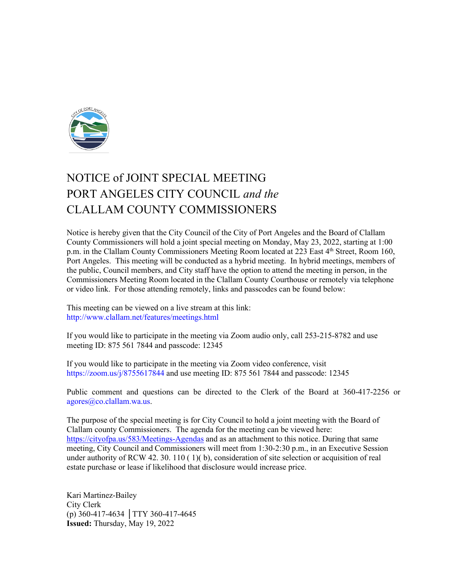

# NOTICE of JOINT SPECIAL MEETING PORT ANGELES CITY COUNCIL *and the* CLALLAM COUNTY COMMISSIONERS

Notice is hereby given that the City Council of the City of Port Angeles and the Board of Clallam County Commissioners will hold a joint special meeting on Monday, May 23, 2022, starting at 1:00 p.m. in the Clallam County Commissioners Meeting Room located at 223 East 4<sup>th</sup> Street, Room 160, Port Angeles. This meeting will be conducted as a hybrid meeting. In hybrid meetings, members of the public, Council members, and City staff have the option to attend the meeting in person, in the Commissioners Meeting Room located in the Clallam County Courthouse or remotely via telephone or video link. For those attending remotely, links and passcodes can be found below:

This meeting can be viewed on a live stream at this link: http://www.clallam.net/features/meetings.html

If you would like to participate in the meeting via Zoom audio only, call 253-215-8782 and use meeting ID: 875 561 7844 and passcode: 12345

If you would like to participate in the meeting via Zoom video conference, visit https://zoom.us/j/8755617844 and use meeting ID: 875 561 7844 and passcode: 12345

Public comment and questions can be directed to the Clerk of the Board at 360-417-2256 or agores@co.clallam.wa.us.

The purpose of the special meeting is for City Council to hold a joint meeting with the Board of Clallam county Commissioners. The agenda for the meeting can be viewed here: <https://cityofpa.us/583/Meetings-Agendas> and as an attachment to this notice. During that same meeting, City Council and Commissioners will meet from 1:30-2:30 p.m., in an Executive Session under authority of RCW 42. 30. 110 ( 1)( b), consideration of site selection or acquisition of real estate purchase or lease if likelihood that disclosure would increase price.

Kari Martinez-Bailey City Clerk (p) 360-417-4634 │TTY 360-417-4645 **Issued:** Thursday, May 19, 2022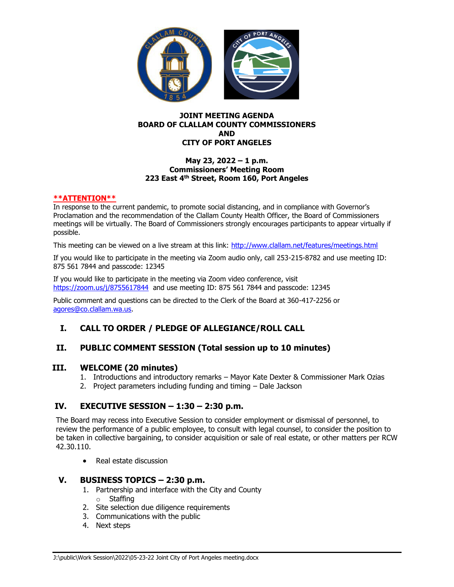

#### **JOINT MEETING AGENDA BOARD OF CLALLAM COUNTY COMMISSIONERS AND CITY OF PORT ANGELES**

#### **May 23, 2022 – 1 p.m. Commissioners' Meeting Room 223 East 4 th Street, Room 160, Port Angeles**

#### **\*\*ATTENTION\*\***

In response to the current pandemic, to promote social distancing, and in compliance with Governor's Proclamation and the recommendation of the Clallam County Health Officer, the Board of Commissioners meetings will be virtually. The Board of Commissioners strongly encourages participants to appear virtually if possible.

This meeting can be viewed on a live stream at this link:<http://www.clallam.net/features/meetings.html>

If you would like to participate in the meeting via Zoom audio only, call 253-215-8782 and use meeting ID: 875 561 7844 and passcode: 12345

If you would like to participate in the meeting via Zoom video conference, visit <https://zoom.us/j/8755617844> and use meeting ID: 875 561 7844 and passcode: 12345

Public comment and questions can be directed to the Clerk of the Board at 360-417-2256 or [agores@co.clallam.wa.us.](mailto:agores@co.clallam.wa.us)

### **I. CALL TO ORDER / PLEDGE OF ALLEGIANCE/ROLL CALL**

#### **II. PUBLIC COMMENT SESSION (Total session up to 10 minutes)**

#### **III. WELCOME (20 minutes)**

- 1. Introductions and introductory remarks Mayor Kate Dexter & Commissioner Mark Ozias
- 2. Project parameters including funding and timing Dale Jackson

#### **IV. EXECUTIVE SESSION – 1:30 – 2:30 p.m.**

The Board may recess into Executive Session to consider employment or dismissal of personnel, to review the performance of a public employee, to consult with legal counsel, to consider the position to be taken in collective bargaining, to consider acquisition or sale of real estate, or other matters per RCW 42.30.110.

• Real estate discussion

#### **V. BUSINESS TOPICS – 2:30 p.m.**

- 1. Partnership and interface with the City and County o Staffing
- 2. Site selection due diligence requirements
- 3. Communications with the public
- 4. Next steps